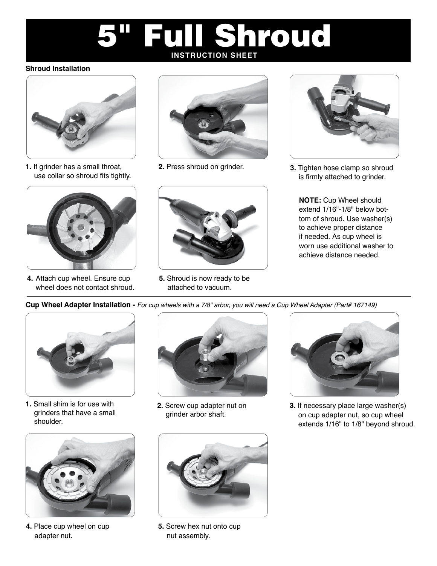# Full Shroud **INSTRUCTION SHEET**

#### **Shroud Installation**



**1.** If grinder has a small throat, use collar so shroud fits tightly.



**4.** Attach cup wheel. Ensure cup wheel does not contact shroud.



**2.** Press shroud on grinder.



**5.** Shroud is now ready to be attached to vacuum.



**3.** Tighten hose clamp so shroud is firmly attached to grinder.

**NOTE:** Cup Wheel should extend 1/16"-1/8" below bottom of shroud. Use washer(s) to achieve proper distance if needed. As cup wheel is worn use additional washer to achieve distance needed.

**Cup Wheel Adapter Installation -** *For cup wheels with a 7/8" arbor, you will need a Cup Wheel Adapter (Part# 167149)*



**1.** Small shim is for use with grinders that have a small shoulder.



**4.** Place cup wheel on cup adapter nut.



**2.** Screw cup adapter nut on grinder arbor shaft.



**3.** If necessary place large washer(s) on cup adapter nut, so cup wheel extends 1/16" to 1/8" beyond shroud.



**5.** Screw hex nut onto cup nut assembly.